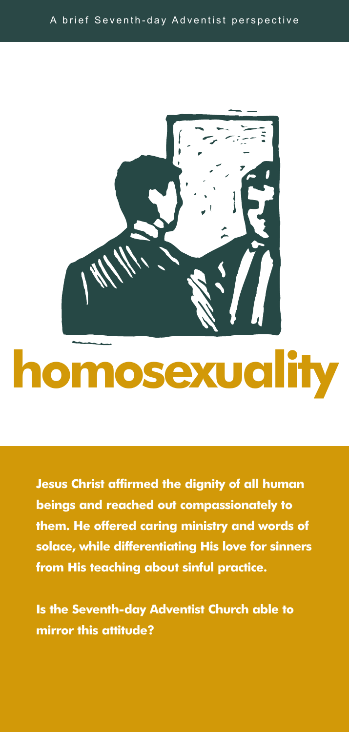

**Jesus Christ affirmed the dignity of all human beings and reached out compassionately to them. He offered caring ministry and words of solace, while differentiating His love for sinners from His teaching about sinful practice.**

**Is the Seventh-day Adventist Church able to mirror this attitude?**